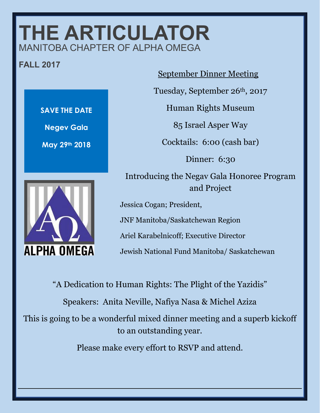## **THE ARTICULATOR** MANITOBA CHAPTER OF ALPHA OMEGA

## **FALL 2017**



## September Dinner Meeting

Tuesday, September 26th, 2017

Human Rights Museum

85 Israel Asper Way

Cocktails: 6:00 (cash bar)

Dinner: 6:30

Introducing the Negav Gala Honoree Program and Project

Jessica Cogan; President,

JNF Manitoba/Saskatchewan Region

Ariel Karabelnicoff; Executive Director

Jewish National Fund Manitoba/ Saskatchewan

"A Dedication to Human Rights: The Plight of the Yazidis" Speakers: Anita Neville, Nafiya Nasa & Michel Aziza This is going to be a wonderful mixed dinner meeting and a superb kickoff to an outstanding year. Please make every effort to RSVP and attend.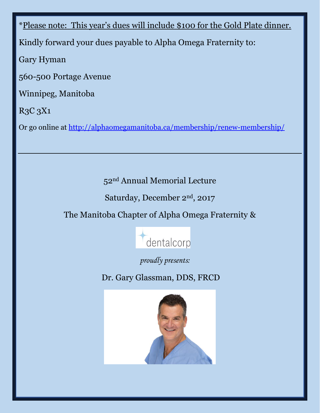\*Please note: This year's dues will include \$100 for the Gold Plate dinner. Kindly forward your dues payable to Alpha Omega Fraternity to: Gary Hyman 560-500 Portage Avenue Winnipeg, Manitoba R3C 3X1

Or go online at<http://alphaomegamanitoba.ca/membership/renew-membership/>

52nd Annual Memorial Lecture

Saturday, December 2nd, 2017

The Manitoba Chapter of Alpha Omega Fraternity &



*proudly presents:*

Dr. Gary Glassman, DDS, FRCD

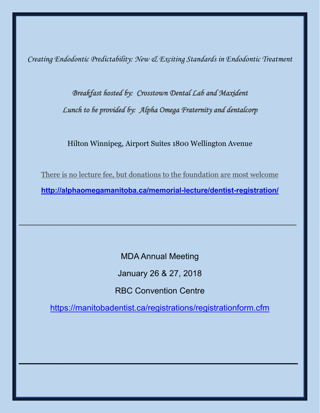*Creating Endodontic Predictability: New & Exciting Standards in Endodontic Treatment*

*Breakfast hosted by: Crosstown Dental Lab and Maxident Lunch to be provided by: Alpha Omega Fraternity and dentalcorp* 

Hilton Winnipeg, Airport Suites 1800 Wellington Avenue

There is no lecture fee, but donations to the foundation are most welcome **<http://alphaomegamanitoba.ca/memorial-lecture/dentist-registration/>**

\_\_\_\_\_\_\_\_\_\_\_\_\_\_\_\_\_\_\_\_\_\_\_\_\_\_\_\_\_\_\_\_\_\_\_\_\_\_\_\_\_\_\_\_\_\_\_\_\_\_\_\_\_\_\_\_\_\_\_

MDA Annual Meeting January 26 & 27, 2018 RBC Convention Centre

<https://manitobadentist.ca/registrations/registrationform.cfm>

**\_\_\_\_\_\_\_\_\_\_\_\_\_\_\_\_\_\_\_\_\_\_\_\_\_\_\_\_\_\_\_\_\_\_\_\_\_\_\_\_\_\_\_\_\_\_\_\_\_\_\_\_\_\_\_\_\_\_\_\_**